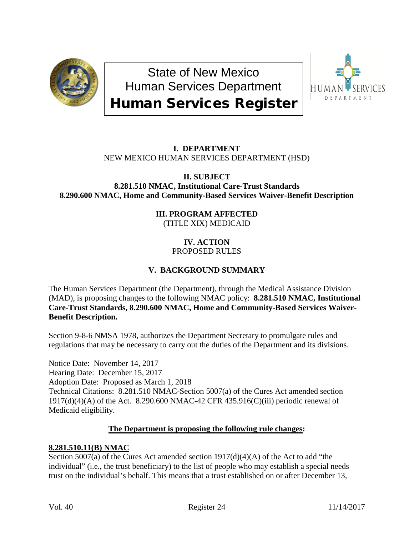

State of New Mexico Human Services Department Human Services Register



## **I. DEPARTMENT** NEW MEXICO HUMAN SERVICES DEPARTMENT (HSD)

**II. SUBJECT 8.281.510 NMAC, Institutional Care-Trust Standards 8.290.600 NMAC, Home and Community-Based Services Waiver-Benefit Description**

> **III. PROGRAM AFFECTED** (TITLE XIX) MEDICAID

## **IV. ACTION** PROPOSED RULES

# **V. BACKGROUND SUMMARY**

The Human Services Department (the Department), through the Medical Assistance Division (MAD), is proposing changes to the following NMAC policy: **8.281.510 NMAC, Institutional Care-Trust Standards, 8.290.600 NMAC, Home and Community-Based Services Waiver-Benefit Description.**

Section 9-8-6 NMSA 1978, authorizes the Department Secretary to promulgate rules and regulations that may be necessary to carry out the duties of the Department and its divisions.

Notice Date: November 14, 2017 Hearing Date: December 15, 2017 Adoption Date: Proposed as March 1, 2018 Technical Citations: 8.281.510 NMAC-Section 5007(a) of the Cures Act amended section 1917(d)(4)(A) of the Act. 8.290.600 NMAC-42 CFR 435.916(C)(iii) periodic renewal of Medicaid eligibility.

## **The Department is proposing the following rule changes:**

## **8.281.510.11(B) NMAC**

Section 5007(a) of the Cures Act amended section 1917(d)(4)(A) of the Act to add "the individual" (i.e., the trust beneficiary) to the list of people who may establish a special needs trust on the individual's behalf. This means that a trust established on or after December 13,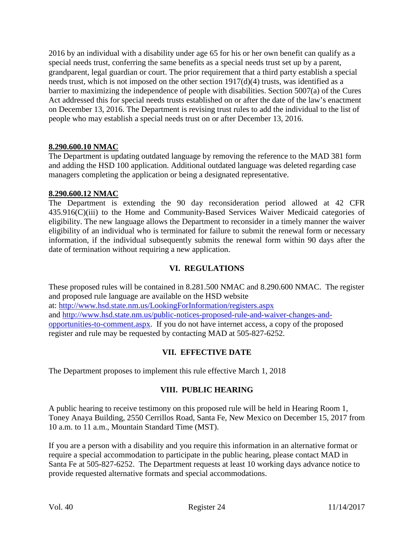2016 by an individual with a disability under age 65 for his or her own benefit can qualify as a special needs trust, conferring the same benefits as a special needs trust set up by a parent, grandparent, legal guardian or court. The prior requirement that a third party establish a special needs trust, which is not imposed on the other section 1917(d)(4) trusts, was identified as a barrier to maximizing the independence of people with disabilities. Section 5007(a) of the Cures Act addressed this for special needs trusts established on or after the date of the law's enactment on December 13, 2016. The Department is revising trust rules to add the individual to the list of people who may establish a special needs trust on or after December 13, 2016.

## **8.290.600.10 NMAC**

The Department is updating outdated language by removing the reference to the MAD 381 form and adding the HSD 100 application. Additional outdated language was deleted regarding case managers completing the application or being a designated representative.

#### **8.290.600.12 NMAC**

The Department is extending the 90 day reconsideration period allowed at 42 CFR 435.916(C)(iii) to the Home and Community-Based Services Waiver Medicaid categories of eligibility. The new language allows the Department to reconsider in a timely manner the waiver eligibility of an individual who is terminated for failure to submit the renewal form or necessary information, if the individual subsequently submits the renewal form within 90 days after the date of termination without requiring a new application.

### **VI. REGULATIONS**

These proposed rules will be contained in 8.281.500 NMAC and 8.290.600 NMAC. The register and proposed rule language are available on the HSD website at:<http://www.hsd.state.nm.us/LookingForInformation/registers.aspx> and [http://www.hsd.state.nm.us/public-notices-proposed-rule-and-waiver-changes-and](http://www.hsd.state.nm.us/public-notices-proposed-rule-and-waiver-changes-and-opportunities-to-comment.aspx)[opportunities-to-comment.aspx.](http://www.hsd.state.nm.us/public-notices-proposed-rule-and-waiver-changes-and-opportunities-to-comment.aspx) If you do not have internet access, a copy of the proposed register and rule may be requested by contacting MAD at 505-827-6252.

#### **VII. EFFECTIVE DATE**

The Department proposes to implement this rule effective March 1, 2018

#### **VIII. PUBLIC HEARING**

A public hearing to receive testimony on this proposed rule will be held in Hearing Room 1, Toney Anaya Building, 2550 Cerrillos Road, Santa Fe, New Mexico on December 15, 2017 from 10 a.m. to 11 a.m., Mountain Standard Time (MST).

If you are a person with a disability and you require this information in an alternative format or require a special accommodation to participate in the public hearing, please contact MAD in Santa Fe at 505-827-6252. The Department requests at least 10 working days advance notice to provide requested alternative formats and special accommodations.